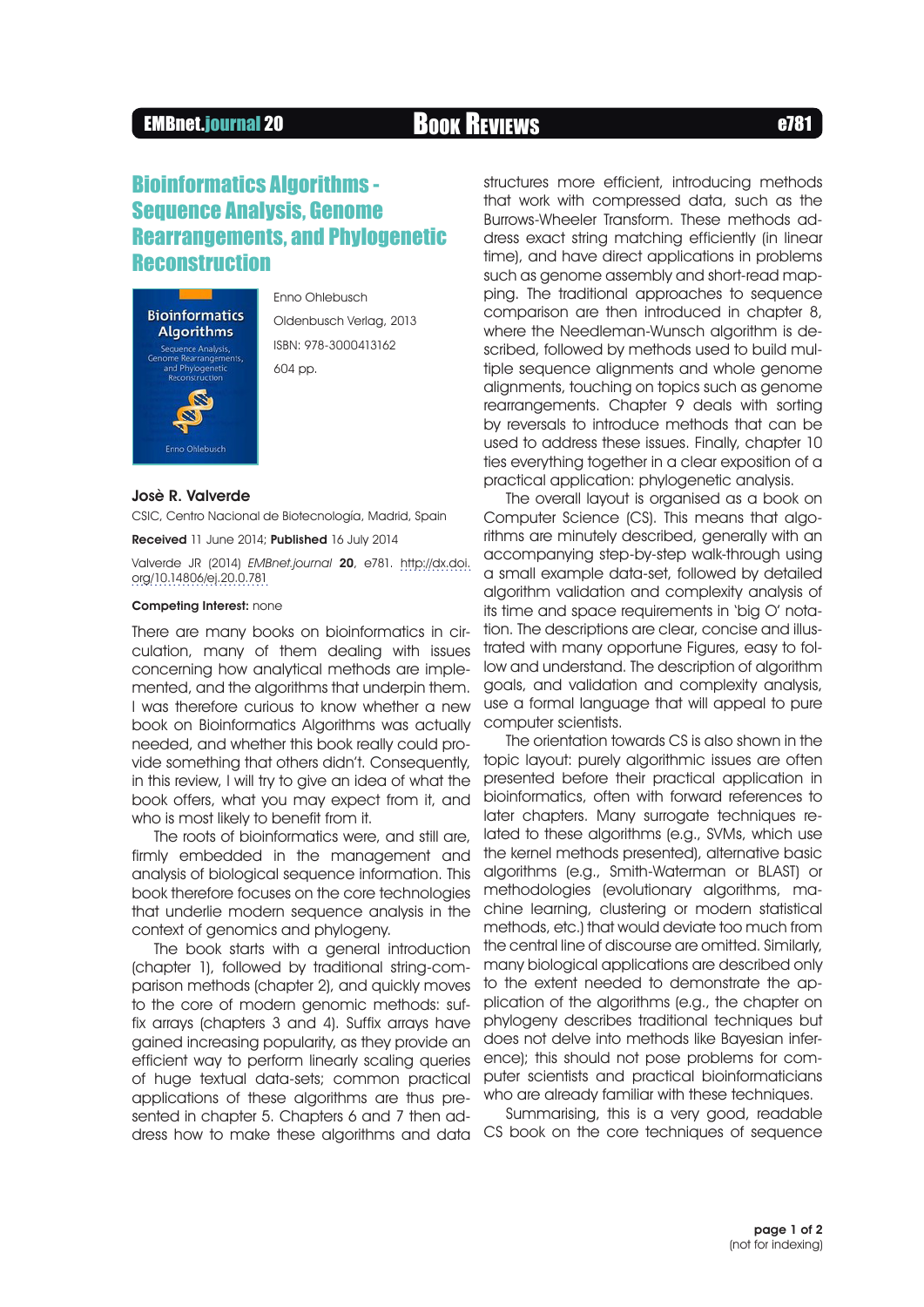## EMBnet.journal 20 Book Reviews **EMBnet.journal 20**

# Bioinformatics Algorithms - Sequence Analysis, Genome Rearrangements, and Phylogenetic **Reconstruction**



Enno Ohlebusch Oldenbusch Verlag, 2013 ISBN: 978-3000413162 604 pp.

### Josè R. Valverde

CSIC, Centro Nacional de Biotecnología, Madrid, Spain

Received 11 June 2014; Published 16 July 2014

Valverde JR (2014) EMBnet.journal 20, e781. [http://dx.doi.](http://dx.doi.org/10.14806/ej.20.0.781) [org/10.14806/ej.20.0.781](http://dx.doi.org/10.14806/ej.20.0.781)

## Competing Interest: none

There are many books on bioinformatics in circulation, many of them dealing with issues concerning how analytical methods are implemented, and the algorithms that underpin them. I was therefore curious to know whether a new book on Bioinformatics Algorithms was actually needed, and whether this book really could provide something that others didn't. Consequently, in this review, I will try to give an idea of what the book offers, what you may expect from it, and who is most likely to benefit from it.

The roots of bioinformatics were, and still are, firmly embedded in the management and analysis of biological sequence information. This book therefore focuses on the core technologies that underlie modern sequence analysis in the context of genomics and phylogeny.

The book starts with a general introduction (chapter 1), followed by traditional string-comparison methods (chapter 2), and quickly moves to the core of modern genomic methods: suffix arrays (chapters 3 and 4). Suffix arrays have gained increasing popularity, as they provide an efficient way to perform linearly scaling queries of huge textual data-sets; common practical applications of these algorithms are thus presented in chapter 5. Chapters 6 and 7 then address how to make these algorithms and data CS book on the core techniques of sequence

structures more efficient, introducing methods that work with compressed data, such as the Burrows-Wheeler Transform. These methods address exact string matching efficiently (in linear time), and have direct applications in problems such as genome assembly and short-read mapping. The traditional approaches to sequence comparison are then introduced in chapter 8, where the Needleman-Wunsch algorithm is described, followed by methods used to build multiple sequence alignments and whole genome alignments, touching on topics such as genome rearrangements. Chapter 9 deals with sorting by reversals to introduce methods that can be used to address these issues. Finally, chapter 10 ties everything together in a clear exposition of a practical application: phylogenetic analysis.

The overall layout is organised as a book on Computer Science (CS). This means that algorithms are minutely described, generally with an accompanying step-by-step walk-through using a small example data-set, followed by detailed algorithm validation and complexity analysis of its time and space requirements in 'big O' notation. The descriptions are clear, concise and illustrated with many opportune Figures, easy to follow and understand. The description of algorithm goals, and validation and complexity analysis, use a formal language that will appeal to pure computer scientists.

The orientation towards CS is also shown in the topic layout: purely algorithmic issues are often presented before their practical application in bioinformatics, often with forward references to later chapters. Many surrogate techniques related to these algorithms (e.g., SVMs, which use the kernel methods presented), alternative basic algorithms (e.g., Smith-Waterman or BLAST) or methodologies (evolutionary algorithms, machine learning, clustering or modern statistical methods, etc.) that would deviate too much from the central line of discourse are omitted. Similarly, many biological applications are described only to the extent needed to demonstrate the application of the algorithms (e.g., the chapter on phylogeny describes traditional techniques but does not delve into methods like Bayesian inference); this should not pose problems for computer scientists and practical bioinformaticians who are already familiar with these techniques.

Summarising, this is a very good, readable